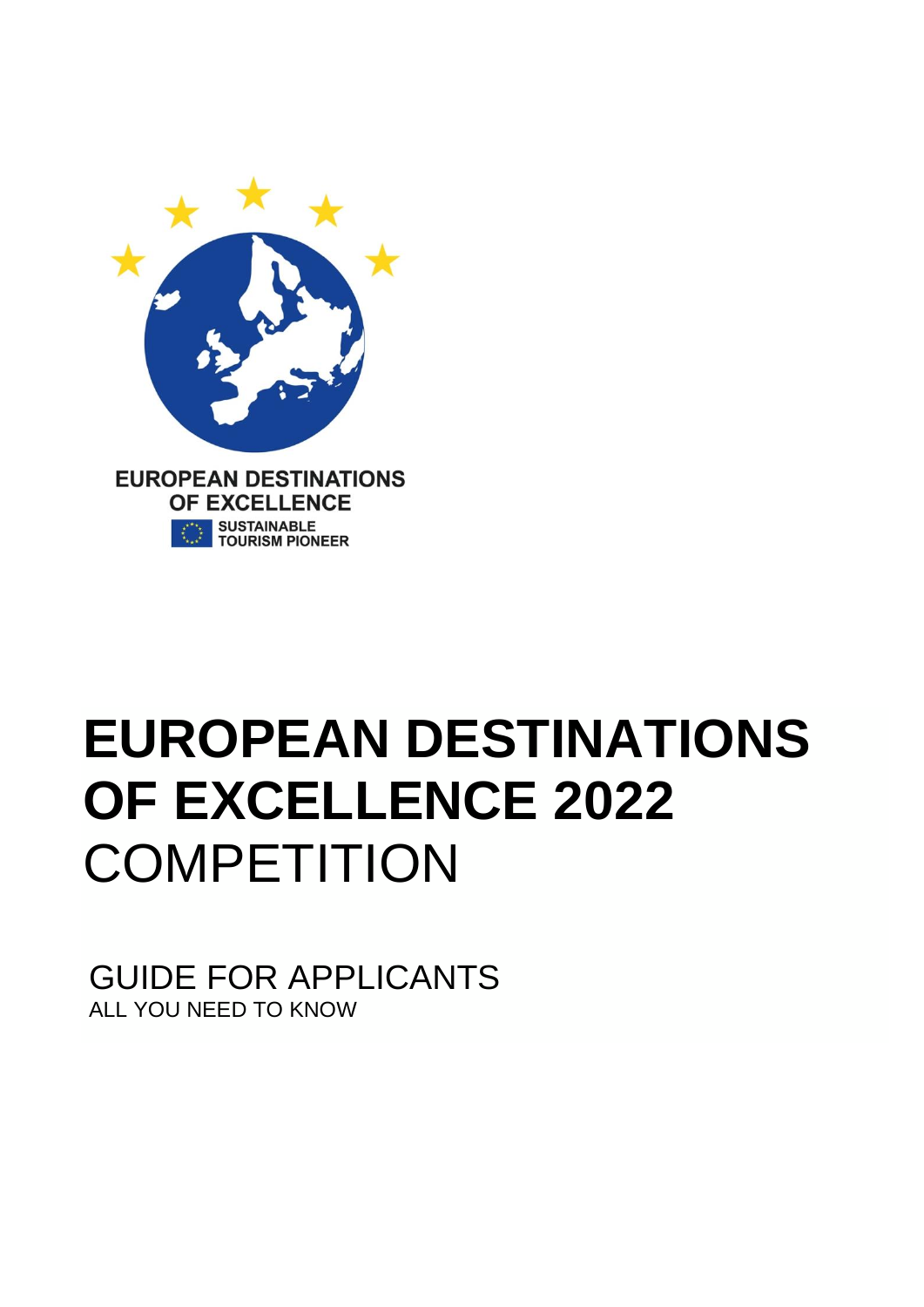

# **EUROPEAN DESTINATIONS OF EXCELLENCE 2022 COMPETITION**

GUIDE FOR APPLICANTS ALL YOU NEED TO KNOW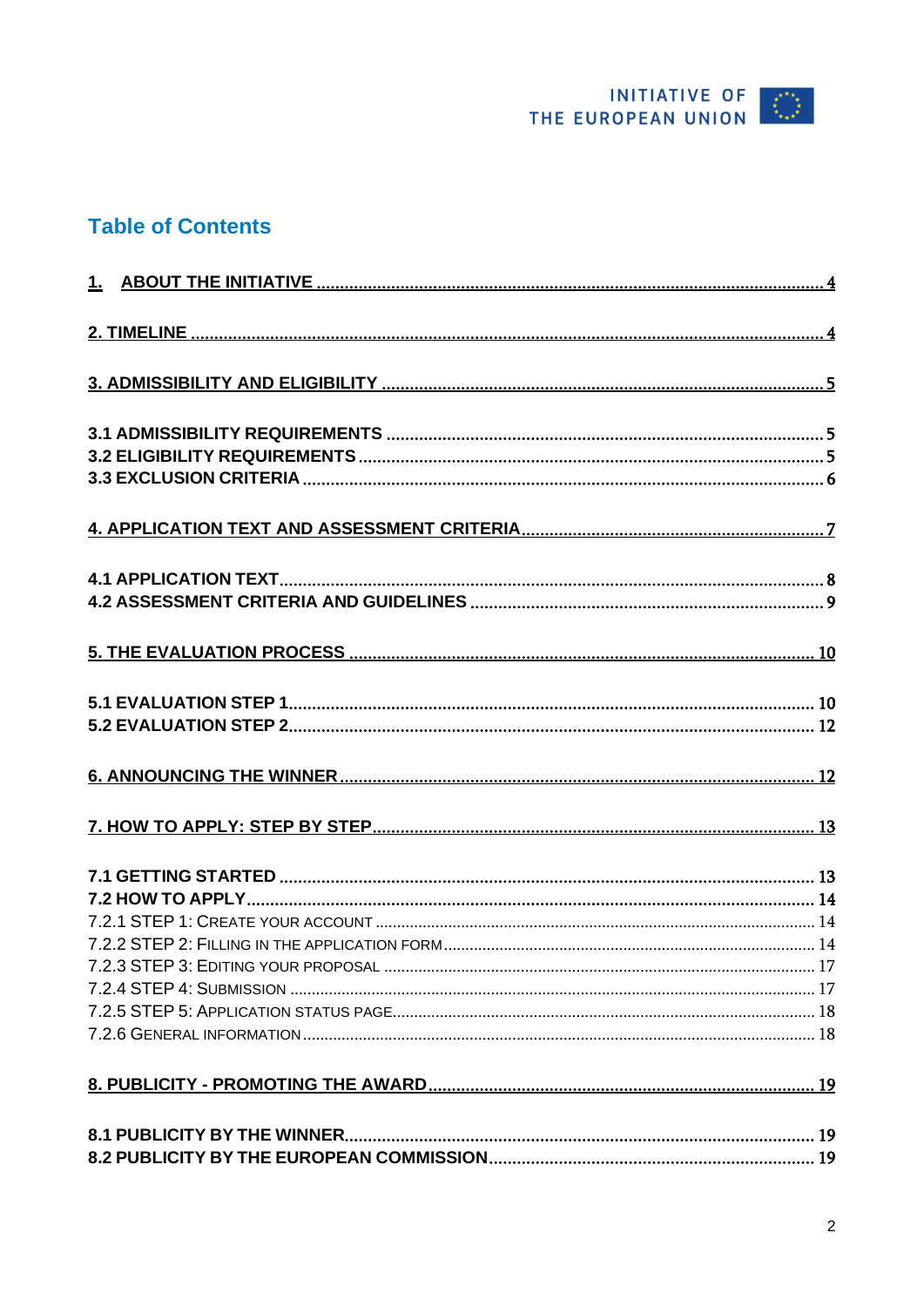

## **Table of Contents**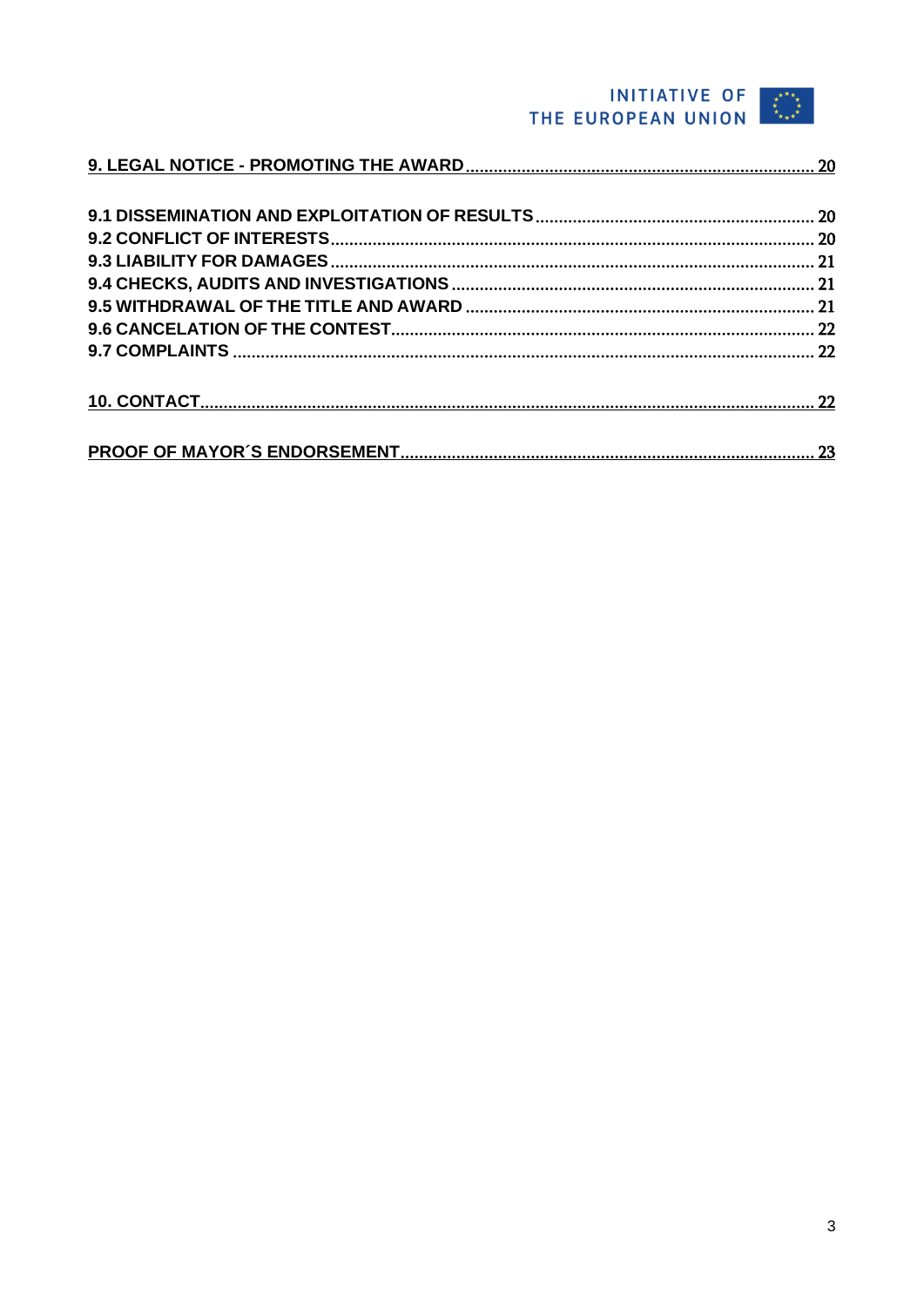## THE EUROPEAN UNION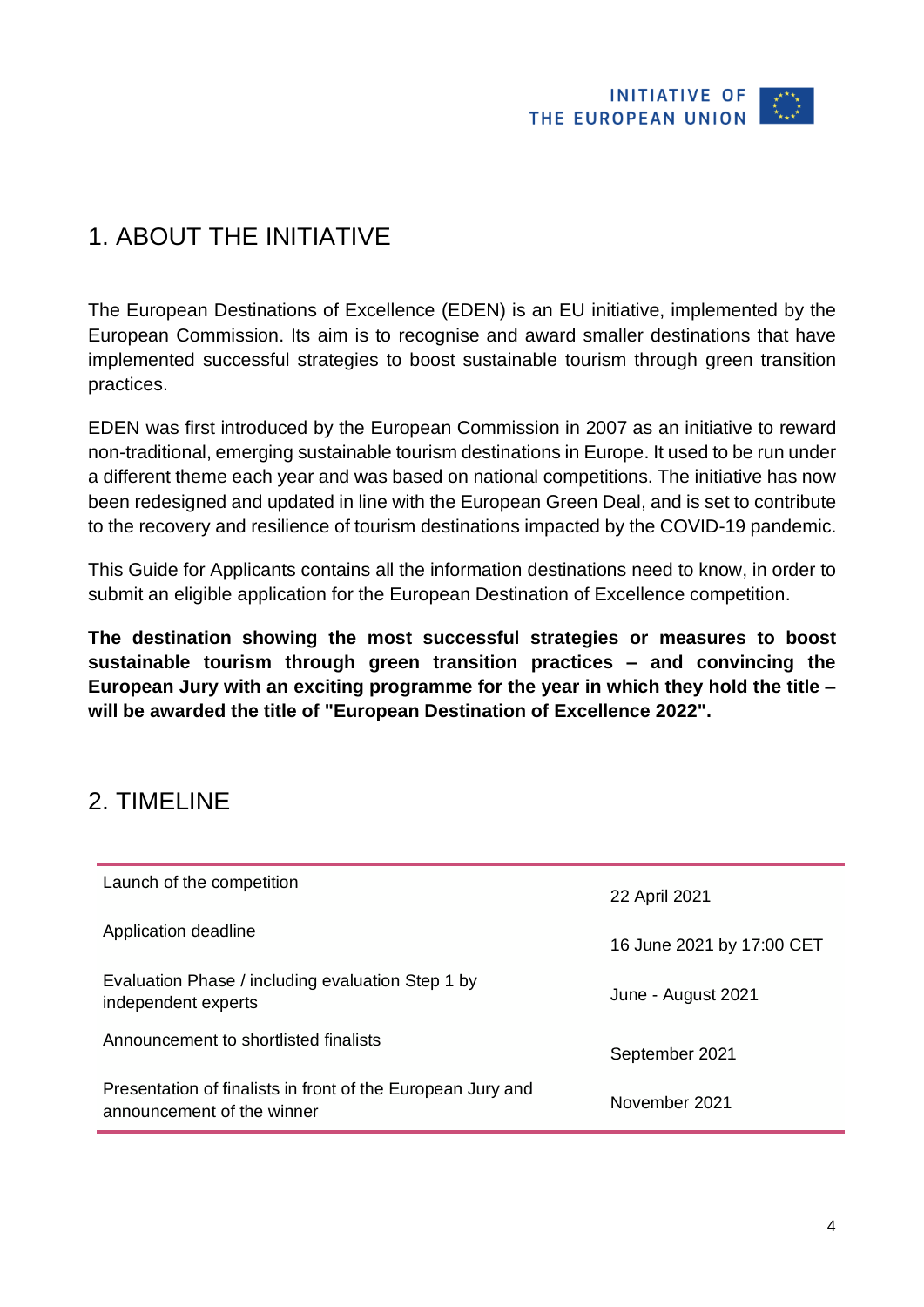

## <span id="page-3-0"></span>1. ABOUT THE INITIATIVE

The European Destinations of Excellence (EDEN) is an EU initiative, implemented by the European Commission. Its aim is to recognise and award smaller destinations that have implemented successful strategies to boost sustainable tourism through green transition practices.

EDEN was first introduced by the European Commission in 2007 as an initiative to reward non-traditional, emerging sustainable tourism destinations in Europe. It used to be run under a different theme each year and was based on national competitions. The initiative has now been redesigned and updated in line with the European Green Deal, and is set to contribute to the recovery and resilience of tourism destinations impacted by the COVID-19 pandemic.

This Guide for Applicants contains all the information destinations need to know, in order to submit an eligible application for the European Destination of Excellence competition.

**The destination showing the most successful strategies or measures to boost sustainable tourism through green transition practices – and convincing the European Jury with an exciting programme for the year in which they hold the title – will be awarded the title of "European Destination of Excellence 2022".**

## <span id="page-3-1"></span>2. TIMELINE

| Launch of the competition                                                                 | 22 April 2021             |
|-------------------------------------------------------------------------------------------|---------------------------|
| Application deadline                                                                      | 16 June 2021 by 17:00 CET |
| Evaluation Phase / including evaluation Step 1 by<br>independent experts                  | June - August 2021        |
| Announcement to shortlisted finalists                                                     | September 2021            |
| Presentation of finalists in front of the European Jury and<br>announcement of the winner | November 2021             |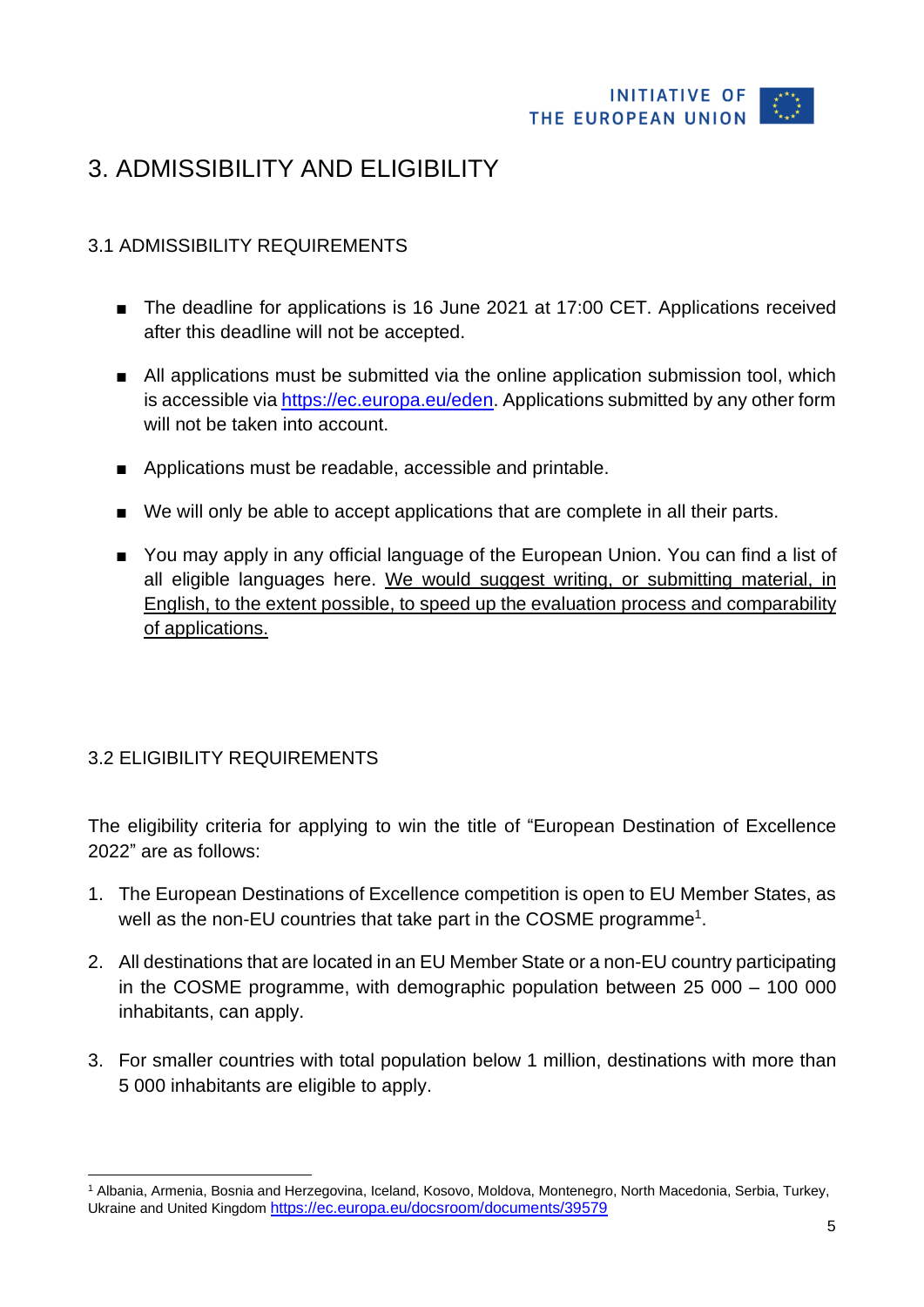

## <span id="page-4-0"></span>3. ADMISSIBILITY AND ELIGIBILITY

#### <span id="page-4-1"></span>3.1 ADMISSIBILITY REQUIREMENTS

- The deadline for applications is 16 June 2021 at 17:00 CET. Applications received after this deadline will not be accepted.
- All applications must be submitted via the online application submission tool, which is accessible via [https://ec.europa.eu/eden.](https://ec.europa.eu/eden) Applications submitted by any other form will not be taken into account.
- Applications must be readable, accessible and printable.
- We will only be able to accept applications that are complete in all their parts.
- You may apply in any official language of the European Union. You can find a list of all eligible languages [here.](https://europa.eu/european-union/about-eu/eu-languages_en) We would suggest writing, or submitting material, in English, to the extent possible, to speed up the evaluation process and comparability of applications.

#### <span id="page-4-2"></span>3.2 ELIGIBILITY REQUIREMENTS

The eligibility criteria for applying to win the title of "European Destination of Excellence 2022" are as follows:

- 1. The European Destinations of Excellence competition is open to EU Member States, as well as the non-EU countries that take part in the COSME programme<sup>1</sup>.
- 2. All destinations that are located in an EU Member State or a non-EU country participating in the COSME programme, with demographic population between 25 000 – 100 000 inhabitants, can apply.
- 3. For smaller countries with total population below 1 million, destinations with more than 5 000 inhabitants are eligible to apply.

<sup>1</sup> Albania, Armenia, Bosnia and Herzegovina, Iceland, Kosovo, Moldova, Montenegro, North Macedonia, Serbia, Turkey, Ukraine and United Kingdom <https://ec.europa.eu/docsroom/documents/39579>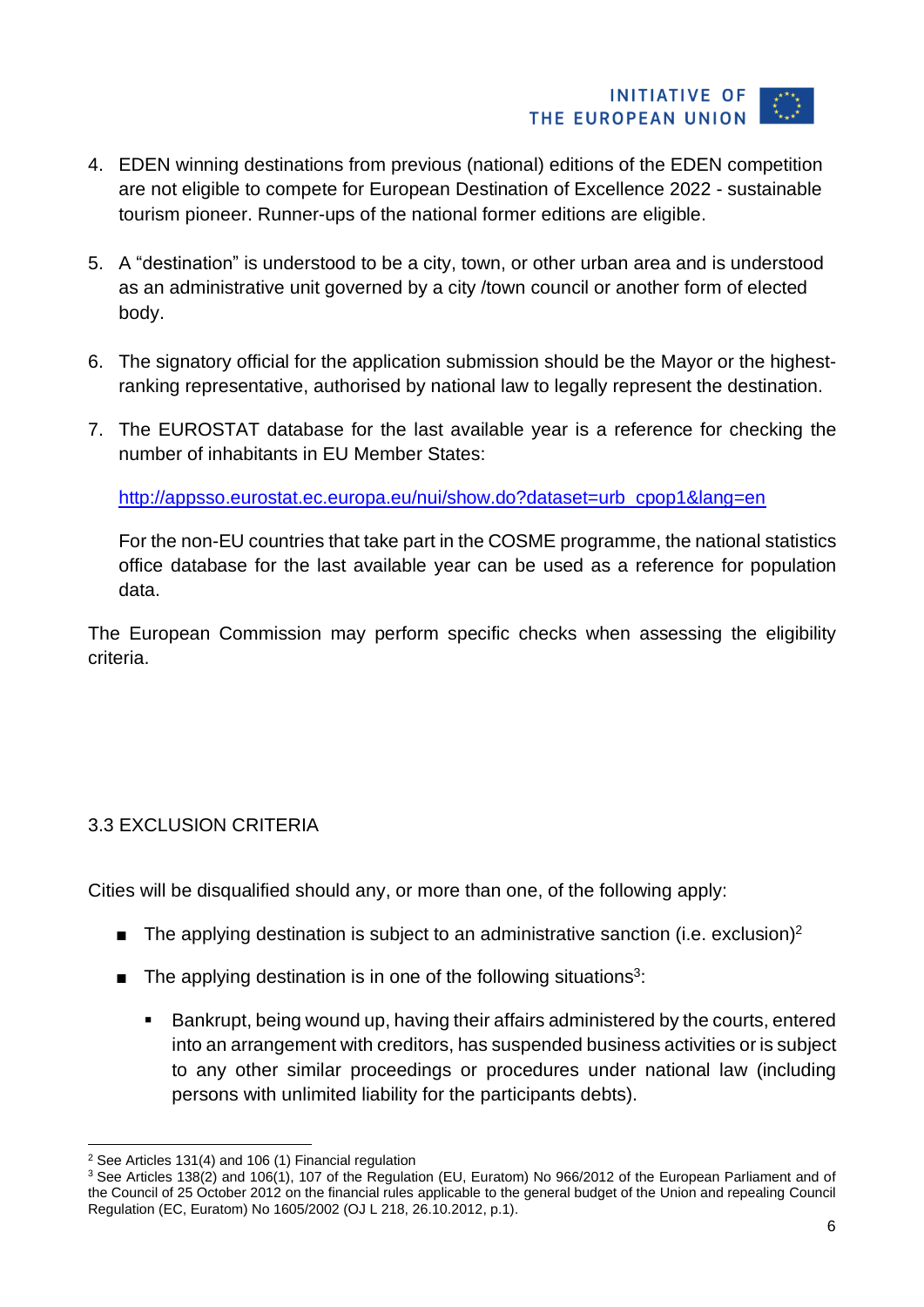

- 4. EDEN winning destinations from previous (national) editions of the EDEN competition are not eligible to compete for European Destination of Excellence 2022 - sustainable tourism pioneer. Runner-ups of the national former editions are eligible.
- 5. A "destination" is understood to be a city, town, or other urban area and is understood as an administrative unit governed by a city /town council or another form of elected body.
- 6. The signatory official for the application submission should be the Mayor or the highestranking representative, authorised by national law to legally represent the destination.
- 7. The EUROSTAT database for the last available year is a reference for checking the number of inhabitants in EU Member States:

[http://appsso.eurostat.ec.europa.eu/nui/show.do?dataset=urb\\_cpop1&lang=en](http://appsso.eurostat.ec.europa.eu/nui/show.do?dataset=urb_cpop1&lang=en)

For the non-EU countries that take part in the COSME programme, the national statistics office database for the last available year can be used as a reference for population data.

The European Commission may perform specific checks when assessing the eligibility criteria.

#### <span id="page-5-0"></span>3.3 EXCLUSION CRITERIA

Cities will be disqualified should any, or more than one, of the following apply:

- **The applying destination is subject to an administrative sanction (i.e. exclusion)**<sup>2</sup>
- $\blacksquare$  The applying destination is in one of the following situations<sup>3</sup>:
	- Bankrupt, being wound up, having their affairs administered by the courts, entered into an arrangement with creditors, has suspended business activities or is subject to any other similar proceedings or procedures under national law (including persons with unlimited liability for the participants debts).

<sup>2</sup> See Articles 131(4) and 106 (1) Financial regulation

<sup>&</sup>lt;sup>3</sup> See Articles 138(2) and 106(1), 107 of the Regulation (EU, Euratom) No 966/2012 of the European Parliament and of the Council of 25 October 2012 on the financial rules applicable to the general budget of the Union and repealing Council Regulation (EC, Euratom) No 1605/2002 (OJ L 218, 26.10.2012, p.1).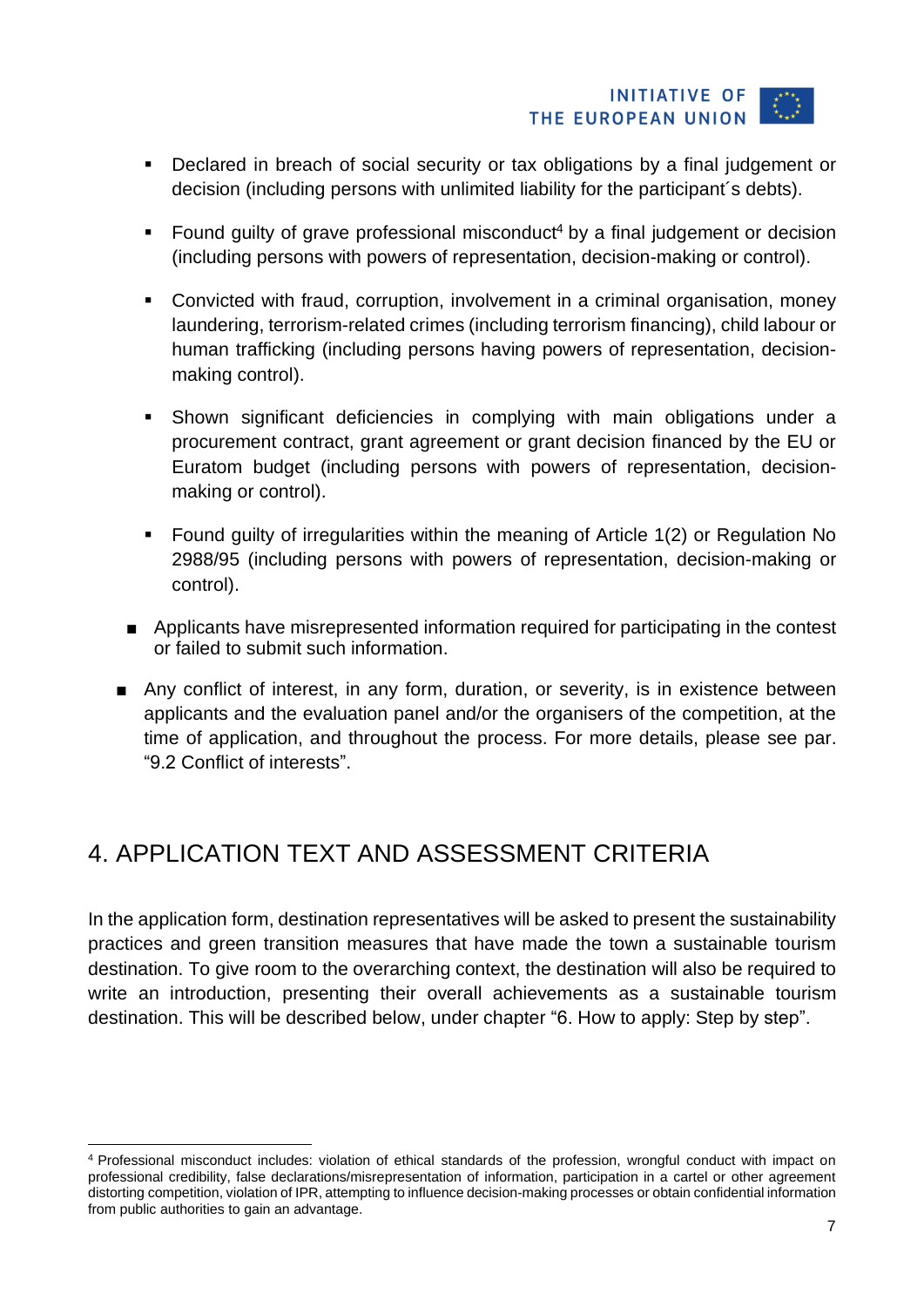#### **INITIATIVE OF** THE EUROPEAN UNION

- Declared in breach of social security or tax obligations by a final judgement or decision (including persons with unlimited liability for the participant´s debts).
- Found quilty of grave professional misconduct<sup>4</sup> by a final judgement or decision (including persons with powers of representation, decision-making or control).
- Convicted with fraud, corruption, involvement in a criminal organisation, money laundering, terrorism-related crimes (including terrorism financing), child labour or human trafficking (including persons having powers of representation, decisionmaking control).
- Shown significant deficiencies in complying with main obligations under a procurement contract, grant agreement or grant decision financed by the EU or Euratom budget (including persons with powers of representation, decisionmaking or control).
- Found guilty of irregularities within the meaning of Article 1(2) or Regulation No 2988/95 (including persons with powers of representation, decision-making or control).
- Applicants have misrepresented information required for participating in the contest or failed to submit such information.
- Any conflict of interest, in any form, duration, or severity, is in existence between applicants and the evaluation panel and/or the organisers of the competition, at the time of application, and throughout the process. For more details, please see par. "9.2 Conflict of interests".

## <span id="page-6-0"></span>4. APPLICATION TEXT AND ASSESSMENT CRITERIA

In the application form, destination representatives will be asked to present the sustainability practices and green transition measures that have made the town a sustainable tourism destination. To give room to the overarching context, the destination will also be required to write an introduction, presenting their overall achievements as a sustainable tourism destination. This will be described below, under chapter "6. How to apply: Step by step".

<sup>4</sup> Professional misconduct includes: violation of ethical standards of the profession, wrongful conduct with impact on professional credibility, false declarations/misrepresentation of information, participation in a cartel or other agreement distorting competition, violation of IPR, attempting to influence decision-making processes or obtain confidential information from public authorities to gain an advantage.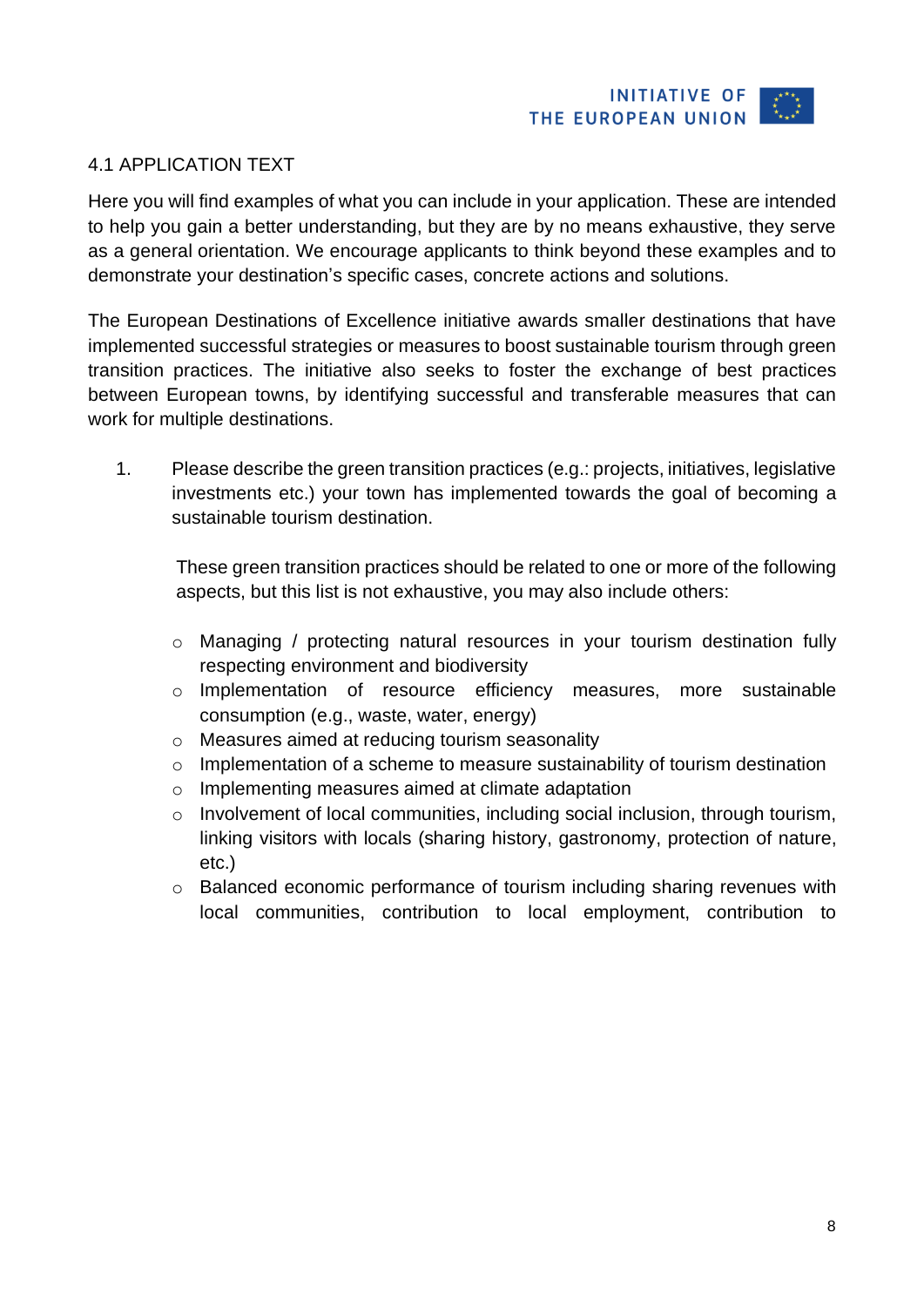

#### <span id="page-7-0"></span>4.1 APPLICATION TEXT

Here you will find examples of what you can include in your application. These are intended to help you gain a better understanding, but they are by no means exhaustive, they serve as a general orientation. We encourage applicants to think beyond these examples and to demonstrate your destination's specific cases, concrete actions and solutions.

The European Destinations of Excellence initiative awards smaller destinations that have implemented successful strategies or measures to boost sustainable tourism through green transition practices. The initiative also seeks to foster the exchange of best practices between European towns, by identifying successful and transferable measures that can work for multiple destinations.

1. Please describe the green transition practices (e.g.: projects, initiatives, legislative investments etc.) your town has implemented towards the goal of becoming a sustainable tourism destination.

These green transition practices should be related to one or more of the following aspects, but this list is not exhaustive, you may also include others:

- o Managing / protecting natural resources in your tourism destination fully respecting environment and biodiversity
- o Implementation of resource efficiency measures, more sustainable consumption (e.g., waste, water, energy)
- o Measures aimed at reducing tourism seasonality
- o Implementation of a scheme to measure sustainability of tourism destination
- o Implementing measures aimed at climate adaptation
- o Involvement of local communities, including social inclusion, through tourism, linking visitors with locals (sharing history, gastronomy, protection of nature, etc.)
- o Balanced economic performance of tourism including sharing revenues with local communities, contribution to local employment, contribution to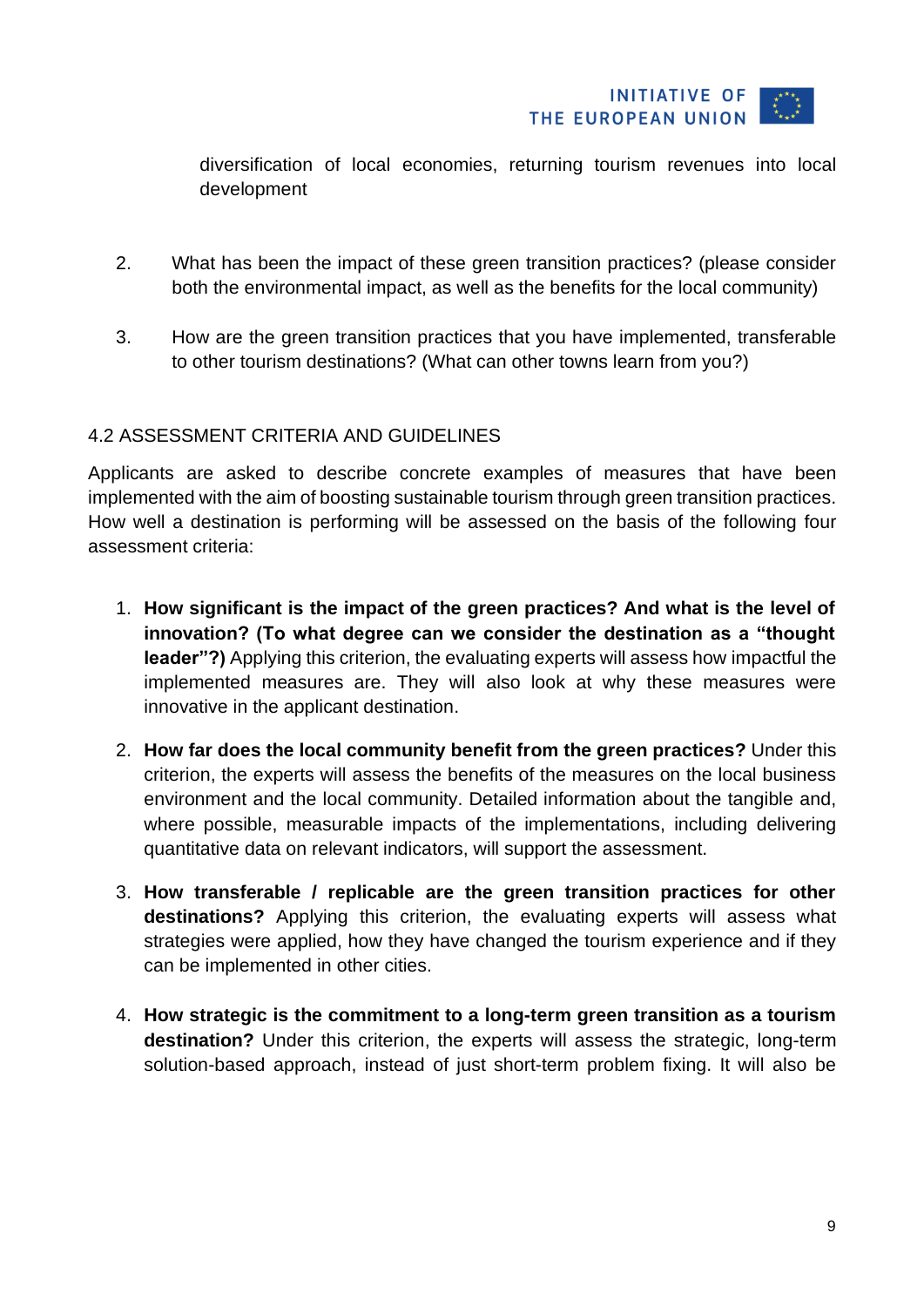

diversification of local economies, returning tourism revenues into local development

- 2. What has been the impact of these green transition practices? (please consider both the environmental impact, as well as the benefits for the local community)
- 3. How are the green transition practices that you have implemented, transferable to other tourism destinations? (What can other towns learn from you?)

#### <span id="page-8-0"></span>4.2 ASSESSMENT CRITERIA AND GUIDELINES

Applicants are asked to describe concrete examples of measures that have been implemented with the aim of boosting sustainable tourism through green transition practices. How well a destination is performing will be assessed on the basis of the following four assessment criteria:

- 1. **How significant is the impact of the green practices? And what is the level of innovation? (To what degree can we consider the destination as a "thought leader"?)** Applying this criterion, the evaluating experts will assess how impactful the implemented measures are. They will also look at why these measures were innovative in the applicant destination.
- 2. **How far does the local community benefit from the green practices?** Under this criterion, the experts will assess the benefits of the measures on the local business environment and the local community. Detailed information about the tangible and, where possible, measurable impacts of the implementations, including delivering quantitative data on relevant indicators, will support the assessment.
- 3. **How transferable / replicable are the green transition practices for other destinations?** Applying this criterion, the evaluating experts will assess what strategies were applied, how they have changed the tourism experience and if they can be implemented in other cities.
- 4. **How strategic is the commitment to a long-term green transition as a tourism destination?** Under this criterion, the experts will assess the strategic, long-term solution-based approach, instead of just short-term problem fixing. It will also be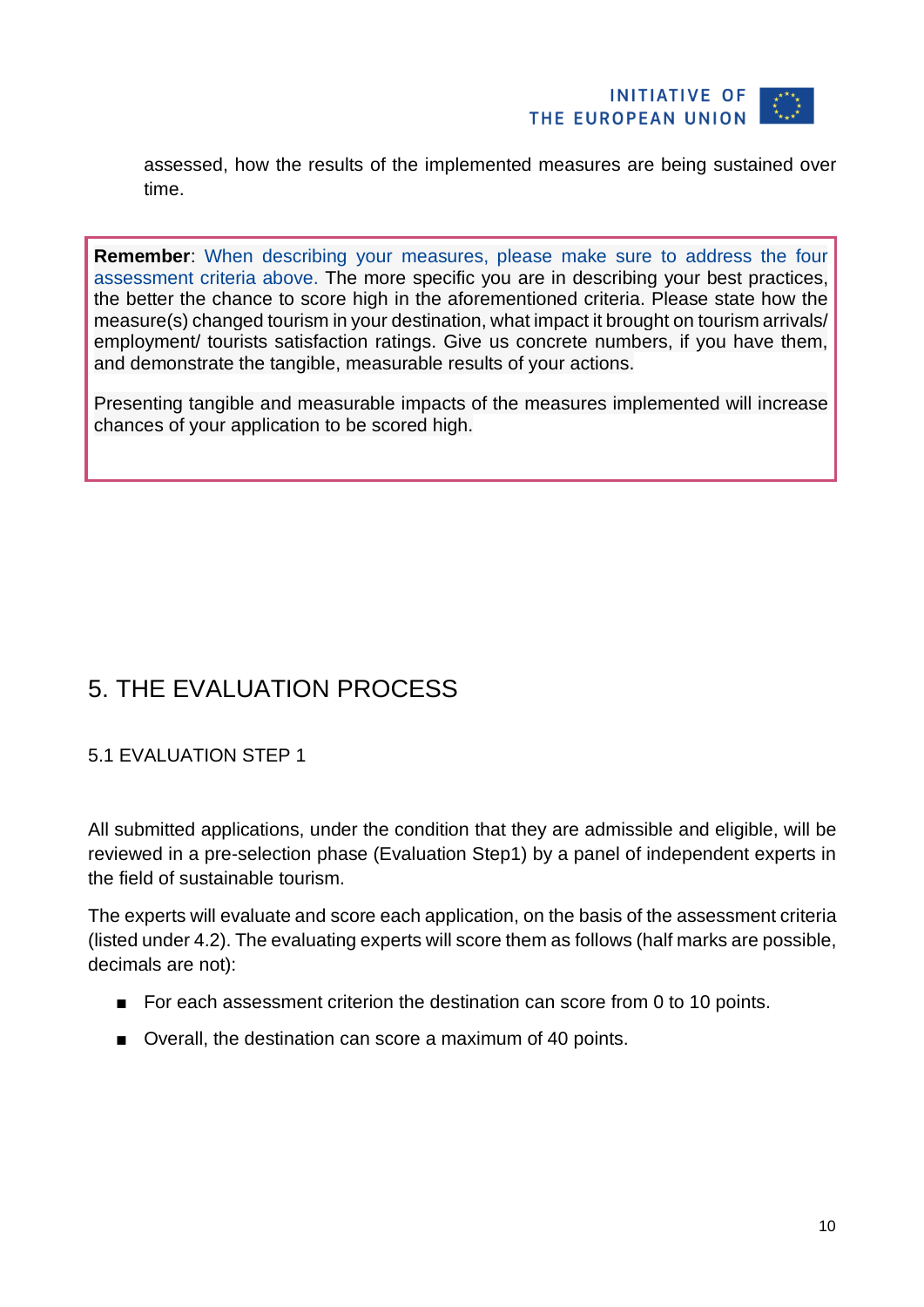

assessed, how the results of the implemented measures are being sustained over time.

**Remember**: When describing your measures, please make sure to address the four assessment criteria above. The more specific you are in describing your best practices, the better the chance to score high in the aforementioned criteria. Please state how the measure(s) changed tourism in your destination, what impact it brought on tourism arrivals/ employment/ tourists satisfaction ratings. Give us concrete numbers, if you have them, and demonstrate the tangible, measurable results of your actions.

Presenting tangible and measurable impacts of the measures implemented will increase chances of your application to be scored high.

## <span id="page-9-0"></span>5. THE EVALUATION PROCESS

#### <span id="page-9-1"></span>5.1 EVALUATION STEP 1

All submitted applications, under the condition that they are admissible and eligible, will be reviewed in a pre-selection phase (Evaluation Step1) by a panel of independent experts in the field of sustainable tourism.

The experts will evaluate and score each application, on the basis of the assessment criteria (listed under 4.2). The evaluating experts will score them as follows (half marks are possible, decimals are not):

- For each assessment criterion the destination can score from 0 to 10 points.
- Overall, the destination can score a maximum of 40 points.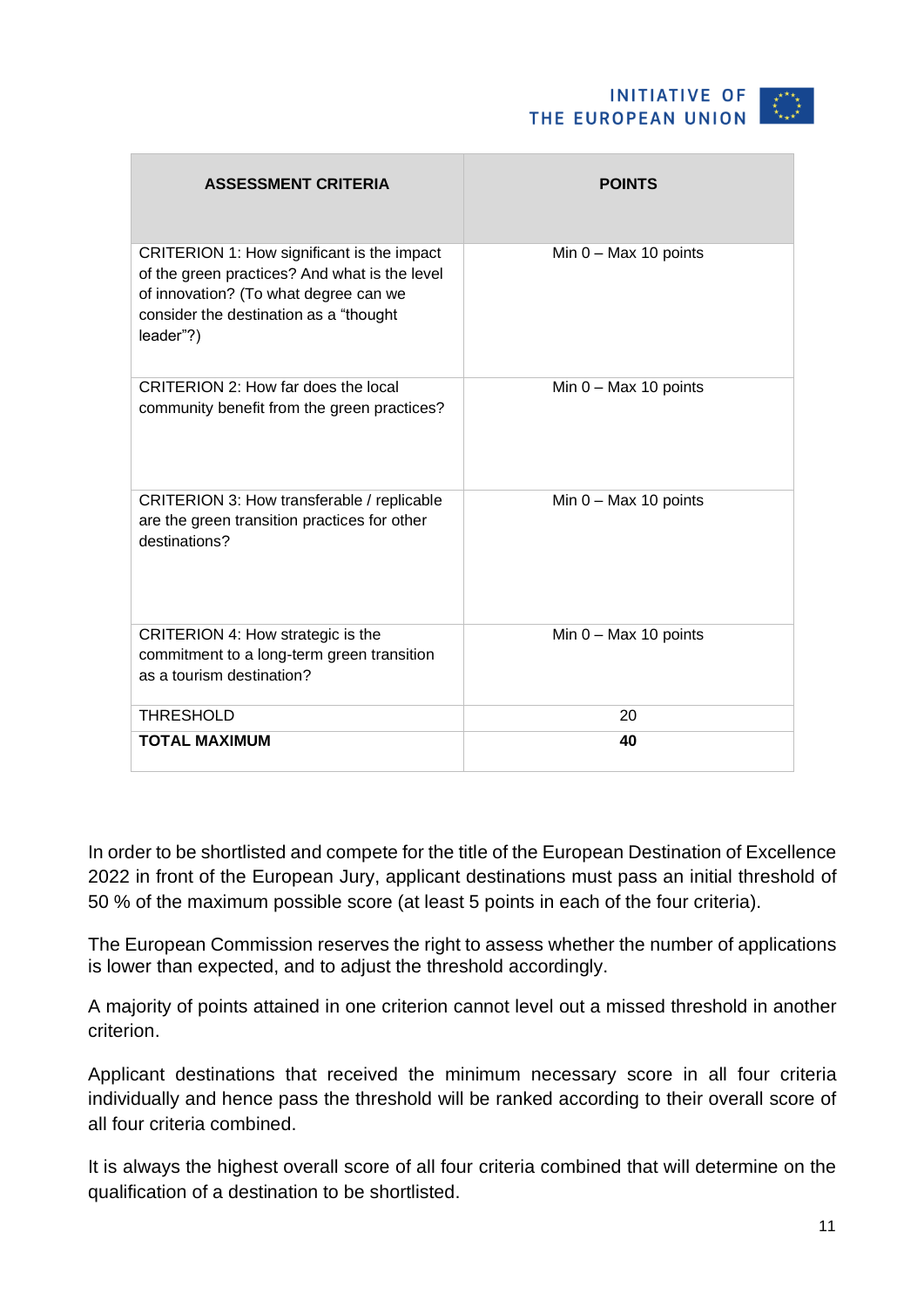| <b>ASSESSMENT CRITERIA</b>                                                                                                                                                                  | <b>POINTS</b>           |
|---------------------------------------------------------------------------------------------------------------------------------------------------------------------------------------------|-------------------------|
| CRITERION 1: How significant is the impact<br>of the green practices? And what is the level<br>of innovation? (To what degree can we<br>consider the destination as a "thought<br>leader"?) | Min $0 - Max 10$ points |
| CRITERION 2: How far does the local<br>community benefit from the green practices?                                                                                                          | Min $0 - Max 10$ points |
| CRITERION 3: How transferable / replicable<br>are the green transition practices for other<br>destinations?                                                                                 | Min $0 - Max 10$ points |
| CRITERION 4: How strategic is the<br>commitment to a long-term green transition<br>as a tourism destination?                                                                                | Min $0 - Max 10$ points |
| <b>THRESHOLD</b>                                                                                                                                                                            | 20                      |
| <b>TOTAL MAXIMUM</b>                                                                                                                                                                        | 40                      |

In order to be shortlisted and compete for the title of the European Destination of Excellence 2022 in front of the European Jury, applicant destinations must pass an initial threshold of 50 % of the maximum possible score (at least 5 points in each of the four criteria).

The European Commission reserves the right to assess whether the number of applications is lower than expected, and to adjust the threshold accordingly.

A majority of points attained in one criterion cannot level out a missed threshold in another criterion.

Applicant destinations that received the minimum necessary score in all four criteria individually and hence pass the threshold will be ranked according to their overall score of all four criteria combined.

It is always the highest overall score of all four criteria combined that will determine on the qualification of a destination to be shortlisted.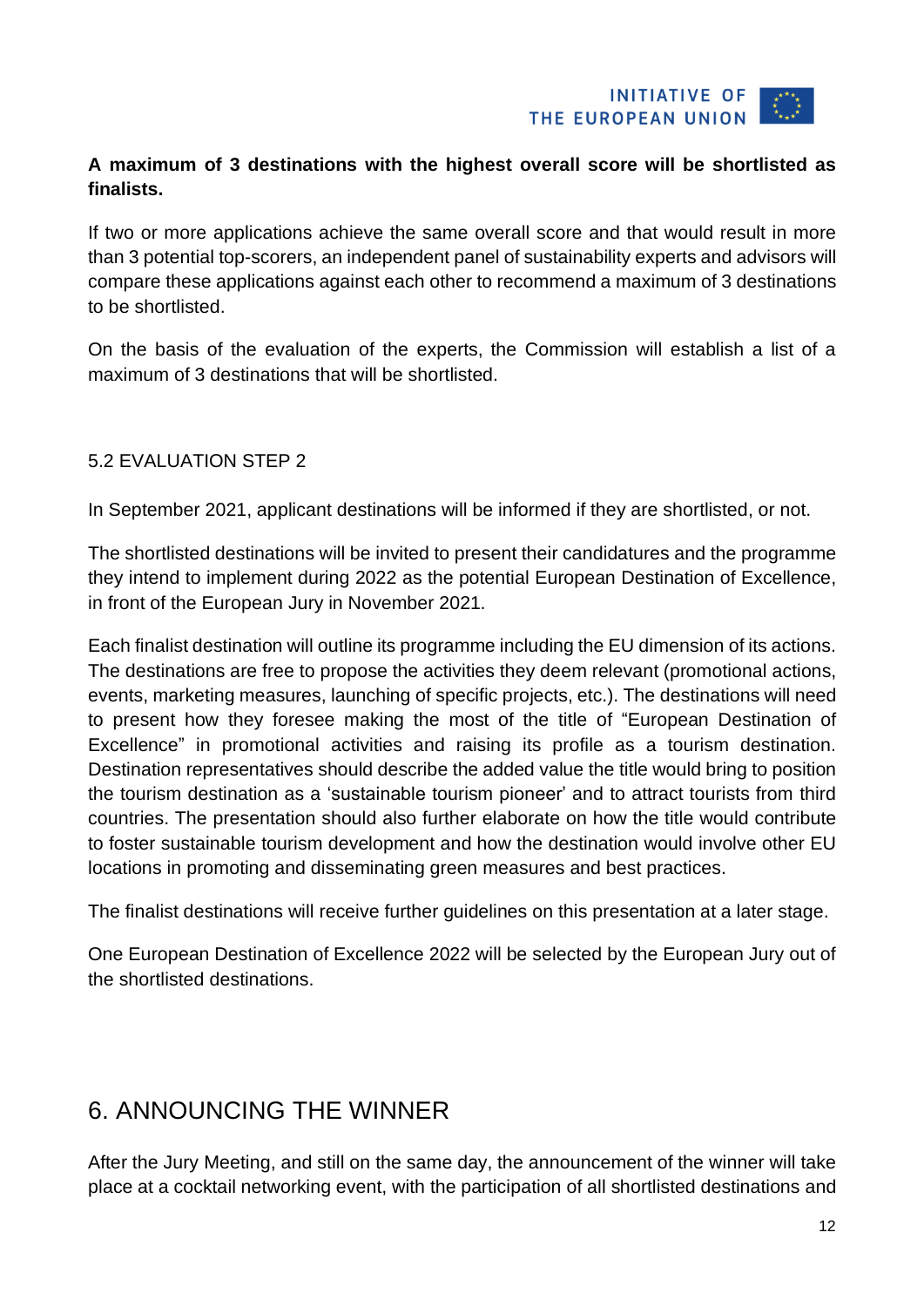

#### **A maximum of 3 destinations with the highest overall score will be shortlisted as finalists.**

If two or more applications achieve the same overall score and that would result in more than 3 potential top-scorers, an independent panel of sustainability experts and advisors will compare these applications against each other to recommend a maximum of 3 destinations to be shortlisted.

On the basis of the evaluation of the experts, the Commission will establish a list of a maximum of 3 destinations that will be shortlisted.

#### <span id="page-11-0"></span>5.2 EVALUATION STEP 2

In September 2021, applicant destinations will be informed if they are shortlisted, or not.

The shortlisted destinations will be invited to present their candidatures and the programme they intend to implement during 2022 as the potential European Destination of Excellence, in front of the European Jury in November 2021.

Each finalist destination will outline its programme including the EU dimension of its actions. The destinations are free to propose the activities they deem relevant (promotional actions, events, marketing measures, launching of specific projects, etc.). The destinations will need to present how they foresee making the most of the title of "European Destination of Excellence" in promotional activities and raising its profile as a tourism destination. Destination representatives should describe the added value the title would bring to position the tourism destination as a 'sustainable tourism pioneer' and to attract tourists from third countries. The presentation should also further elaborate on how the title would contribute to foster sustainable tourism development and how the destination would involve other EU locations in promoting and disseminating green measures and best practices.

The finalist destinations will receive further guidelines on this presentation at a later stage.

One European Destination of Excellence 2022 will be selected by the European Jury out of the shortlisted destinations.

## <span id="page-11-1"></span>6. ANNOUNCING THE WINNER

After the Jury Meeting, and still on the same day, the announcement of the winner will take place at a cocktail networking event, with the participation of all shortlisted destinations and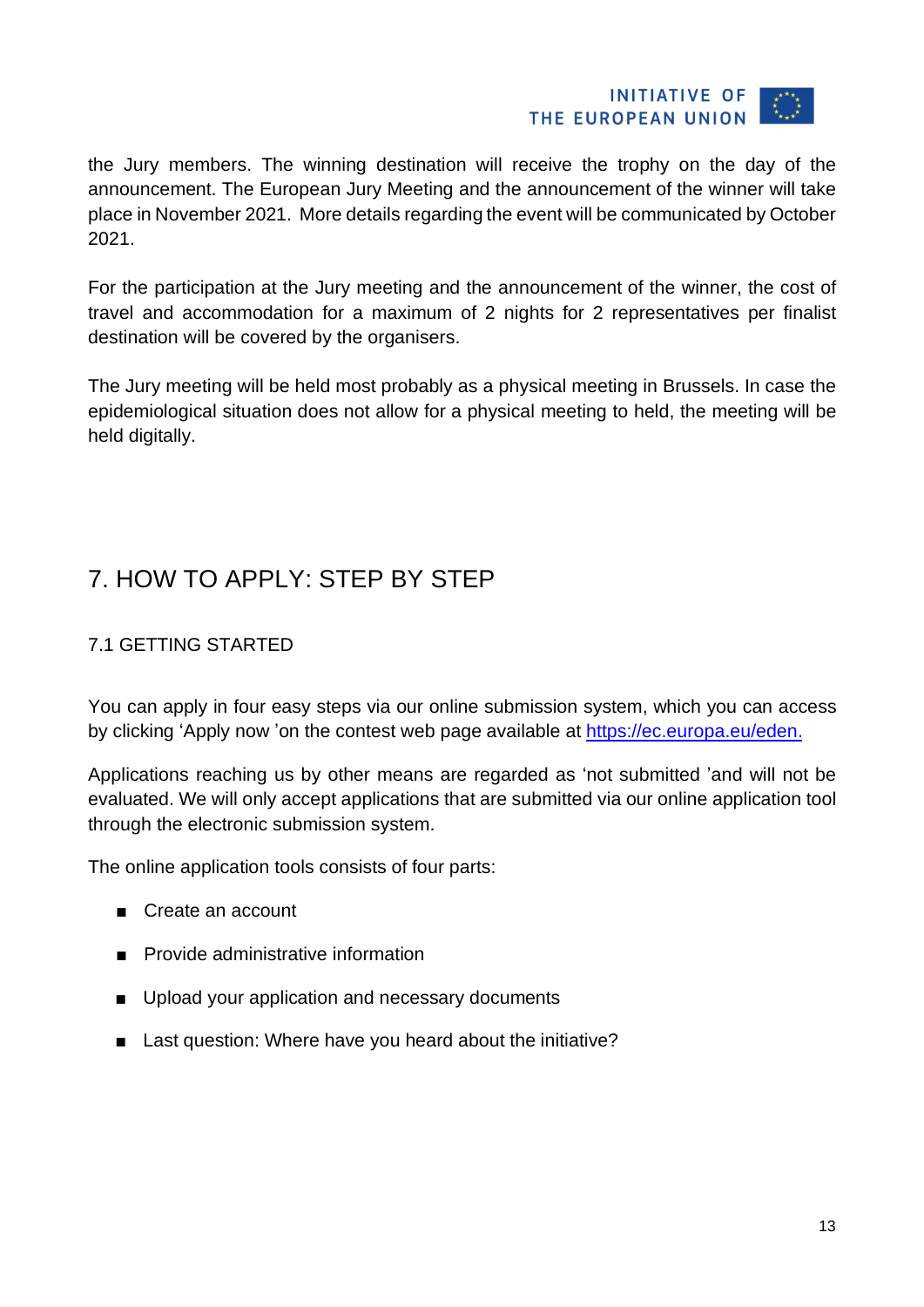#### **INITIATIVE OF** THE EUROPEAN UNION

the Jury members. The winning destination will receive the trophy on the day of the announcement. The European Jury Meeting and the announcement of the winner will take place in November 2021. More details regarding the event will be communicated by October 2021.

For the participation at the Jury meeting and the announcement of the winner, the cost of travel and accommodation for a maximum of 2 nights for 2 representatives per finalist destination will be covered by the organisers.

The Jury meeting will be held most probably as a physical meeting in Brussels. In case the epidemiological situation does not allow for a physical meeting to held, the meeting will be held digitally.

## <span id="page-12-0"></span>7. HOW TO APPLY: STEP BY STEP

#### <span id="page-12-1"></span>7.1 GETTING STARTED

You can apply in four easy steps via our online submission system, which you can access by clicking 'Apply now 'on the contest web page available at [https://ec.europa.eu/eden.](https://ec.europa.eu/eden)

Applications reaching us by other means are regarded as 'not submitted 'and will not be evaluated. We will only accept applications that are submitted via our online application tool through the electronic submission system.

The online application tools consists of four parts:

- Create an account
- Provide administrative information
- Upload your application and necessary documents
- Last question: Where have you heard about the initiative?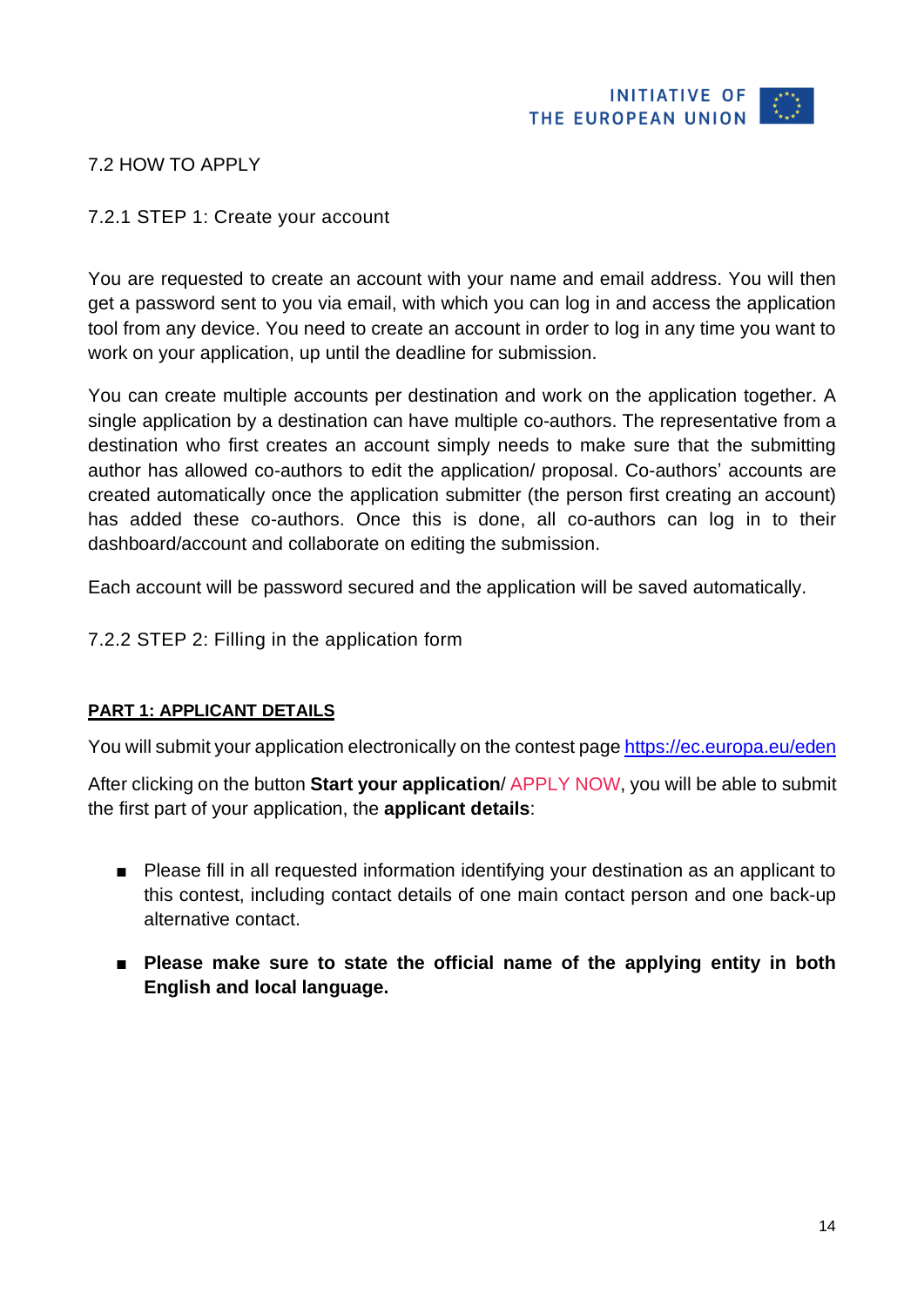

#### <span id="page-13-1"></span><span id="page-13-0"></span>7.2 HOW TO APPLY

#### 7.2.1 STEP 1: Create your account

You are requested to create an account with your name and email address. You will then get a password sent to you via email, with which you can log in and access the application tool from any device. You need to create an account in order to log in any time you want to work on your application, up until the deadline for submission.

You can create multiple accounts per destination and work on the application together. A single application by a destination can have multiple co-authors. The representative from a destination who first creates an account simply needs to make sure that the submitting author has allowed co-authors to edit the application/ proposal. Co-authors' accounts are created automatically once the application submitter (the person first creating an account) has added these co-authors. Once this is done, all co-authors can log in to their dashboard/account and collaborate on editing the submission.

Each account will be password secured and the application will be saved automatically.

<span id="page-13-2"></span>7.2.2 STEP 2: Filling in the application form

#### **PART 1: APPLICANT DETAILS**

You will submit your application electronically on the contest page <https://ec.europa.eu/eden>

After clicking on the button **Start your application**/ APPLY NOW, you will be able to submit the first part of your application, the **applicant details**:

- Please fill in all requested information identifying your destination as an applicant to this contest, including contact details of one main contact person and one back-up alternative contact.
- **Please make sure to state the official name of the applying entity in both English and local language.**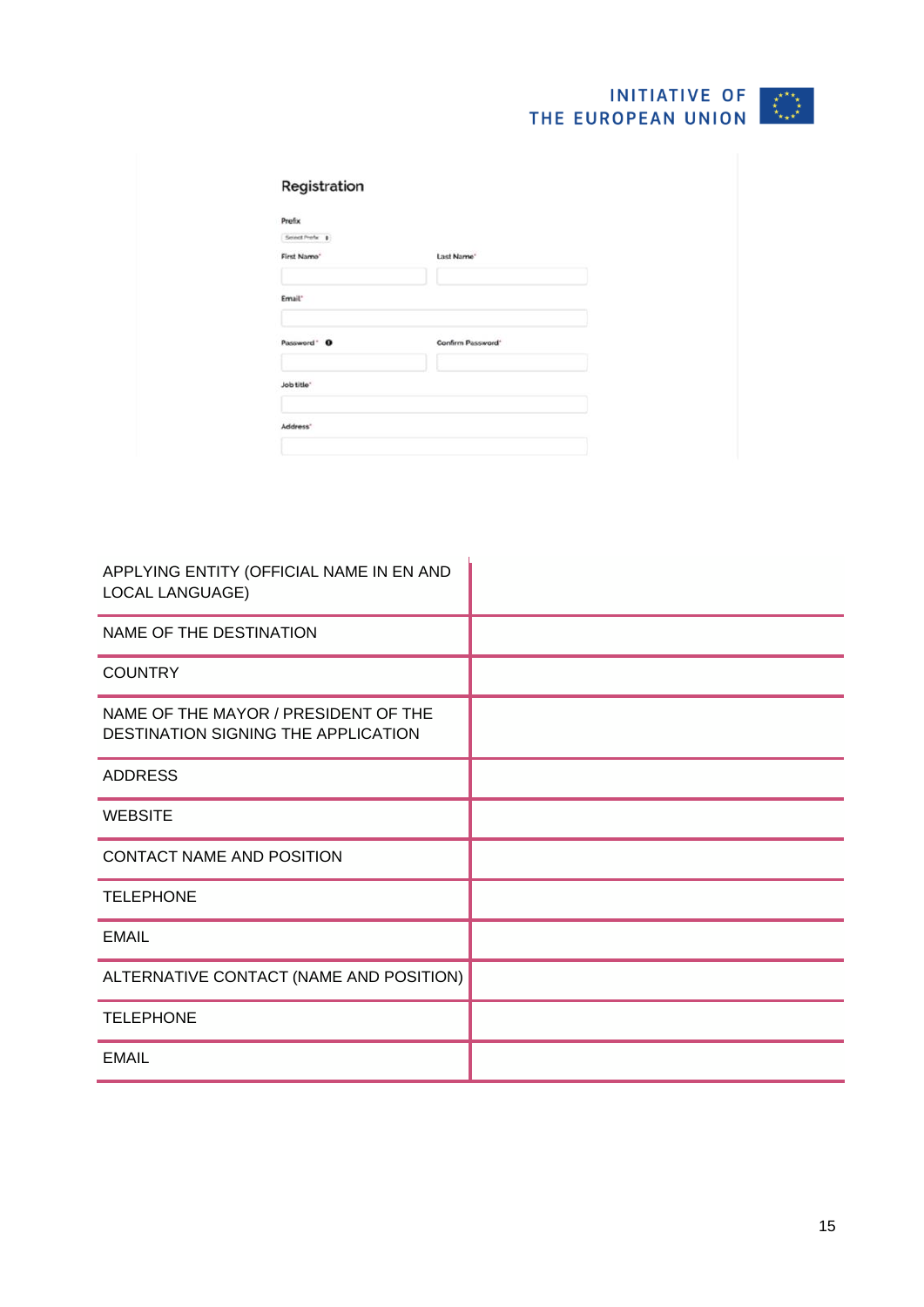| Prefix                  |                        |  |
|-------------------------|------------------------|--|
| Sound Profix \$         |                        |  |
| First Name <sup>*</sup> | Last Name <sup>®</sup> |  |
|                         |                        |  |
| Email"                  |                        |  |
|                         |                        |  |
| Password ' O            | Confirm Password'      |  |
|                         |                        |  |
| Job title <sup>-</sup>  |                        |  |

| APPLYING ENTITY (OFFICIAL NAME IN EN AND<br><b>LOCAL LANGUAGE)</b>          |  |
|-----------------------------------------------------------------------------|--|
| NAME OF THE DESTINATION                                                     |  |
| <b>COUNTRY</b>                                                              |  |
| NAME OF THE MAYOR / PRESIDENT OF THE<br>DESTINATION SIGNING THE APPLICATION |  |
| <b>ADDRESS</b>                                                              |  |
| <b>WEBSITE</b>                                                              |  |
| CONTACT NAME AND POSITION                                                   |  |
| <b>TELEPHONE</b>                                                            |  |
| <b>EMAIL</b>                                                                |  |
| ALTERNATIVE CONTACT (NAME AND POSITION)                                     |  |
| <b>TELEPHONE</b>                                                            |  |
| <b>EMAIL</b>                                                                |  |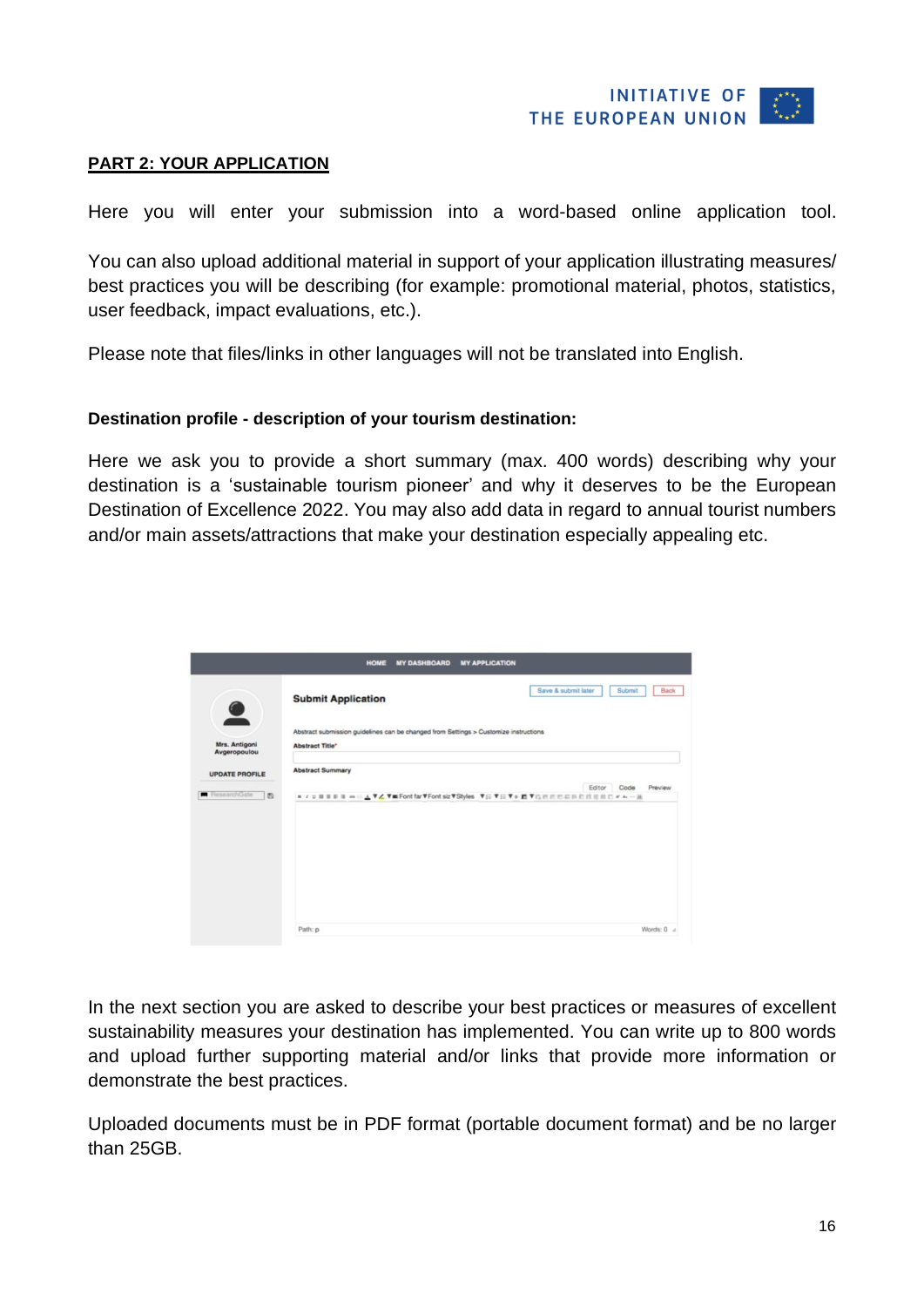

#### **PART 2: YOUR APPLICATION**

Here you will enter your submission into a word-based online application tool.

You can also upload additional material in support of your application illustrating measures/ best practices you will be describing (for example: promotional material, photos, statistics, user feedback, impact evaluations, etc.).

Please note that files/links in other languages will not be translated into English.

#### **Destination profile - description of your tourism destination:**

Here we ask you to provide a short summary (max. 400 words) describing why your destination is a 'sustainable tourism pioneer' and why it deserves to be the European Destination of Excellence 2022. You may also add data in regard to annual tourist numbers and/or main assets/attractions that make your destination especially appealing etc.



In the next section you are asked to describe your best practices or measures of excellent sustainability measures your destination has implemented. You can write up to 800 words and upload further supporting material and/or links that provide more information or demonstrate the best practices.

Uploaded documents must be in PDF format (portable document format) and be no larger than 25GB.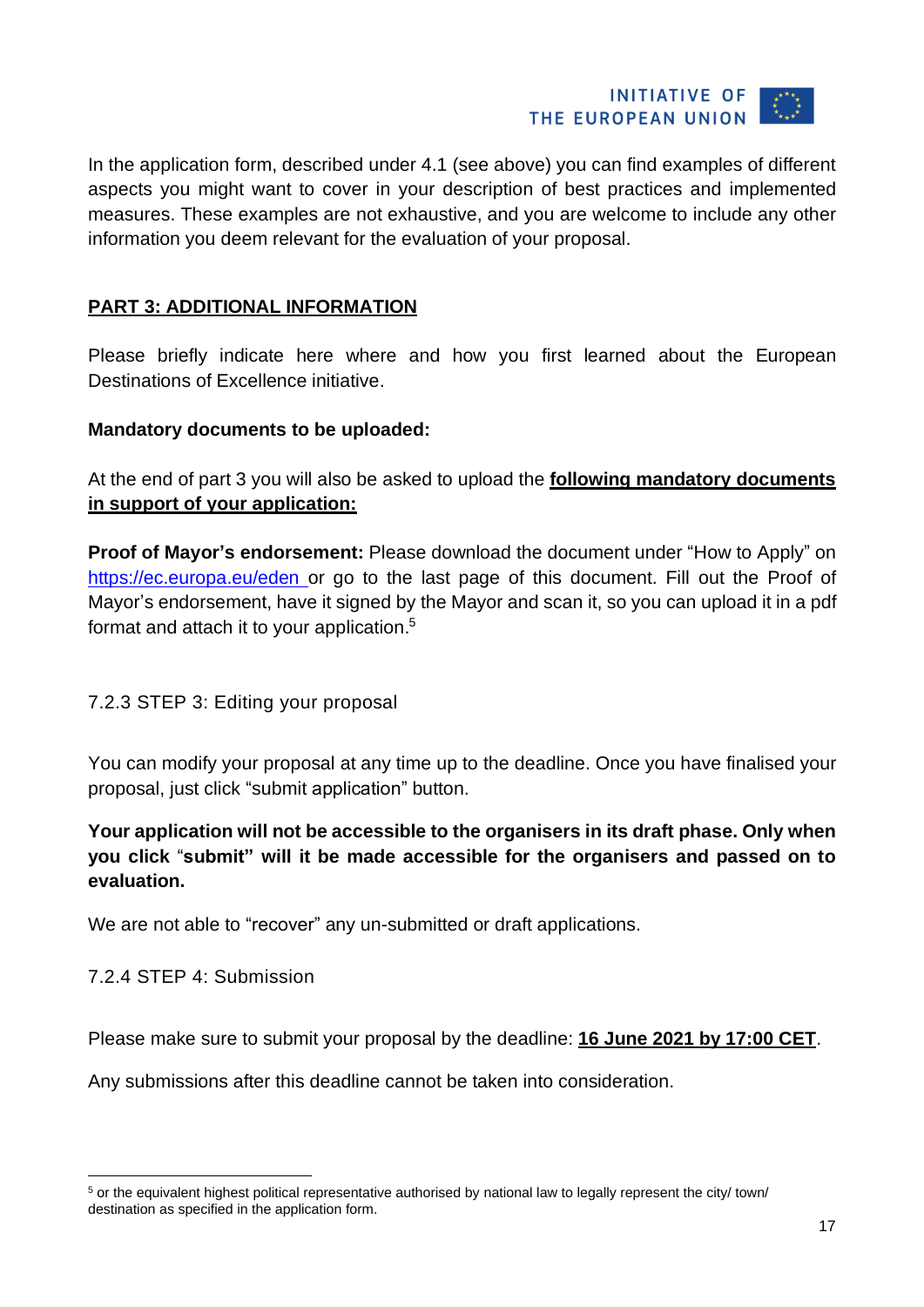

In the application form, described under 4.1 (see above) you can find examples of different aspects you might want to cover in your description of best practices and implemented measures. These examples are not exhaustive, and you are welcome to include any other information you deem relevant for the evaluation of your proposal.

#### **PART 3: ADDITIONAL INFORMATION**

Please briefly indicate here where and how you first learned about the European Destinations of Excellence initiative.

#### **Mandatory documents to be uploaded:**

At the end of part 3 you will also be asked to upload the **following mandatory documents in support of your application:**

**Proof of Mayor's endorsement:** Please download the document under "How to Apply" on <https://ec.europa.eu/eden> or go to the last page of this document. Fill out the Proof of Mayor's endorsement, have it signed by the Mayor and scan it, so you can upload it in a pdf format and attach it to your application.<sup>5</sup>

#### <span id="page-16-0"></span>7.2.3 STEP 3: Editing your proposal

You can modify your proposal at any time up to the deadline. Once you have finalised your proposal, just click "submit application" button.

#### **Your application will not be accessible to the organisers in its draft phase. Only when you click** "**submit" will it be made accessible for the organisers and passed on to evaluation.**

We are not able to "recover" any un-submitted or draft applications.

#### <span id="page-16-1"></span>7.2.4 STEP 4: Submission

Please make sure to submit your proposal by the deadline: **16 June 2021 by 17:00 CET**.

Any submissions after this deadline cannot be taken into consideration.

<sup>5</sup> or the equivalent highest political representative authorised by national law to legally represent the city/ town/ destination as specified in the application form.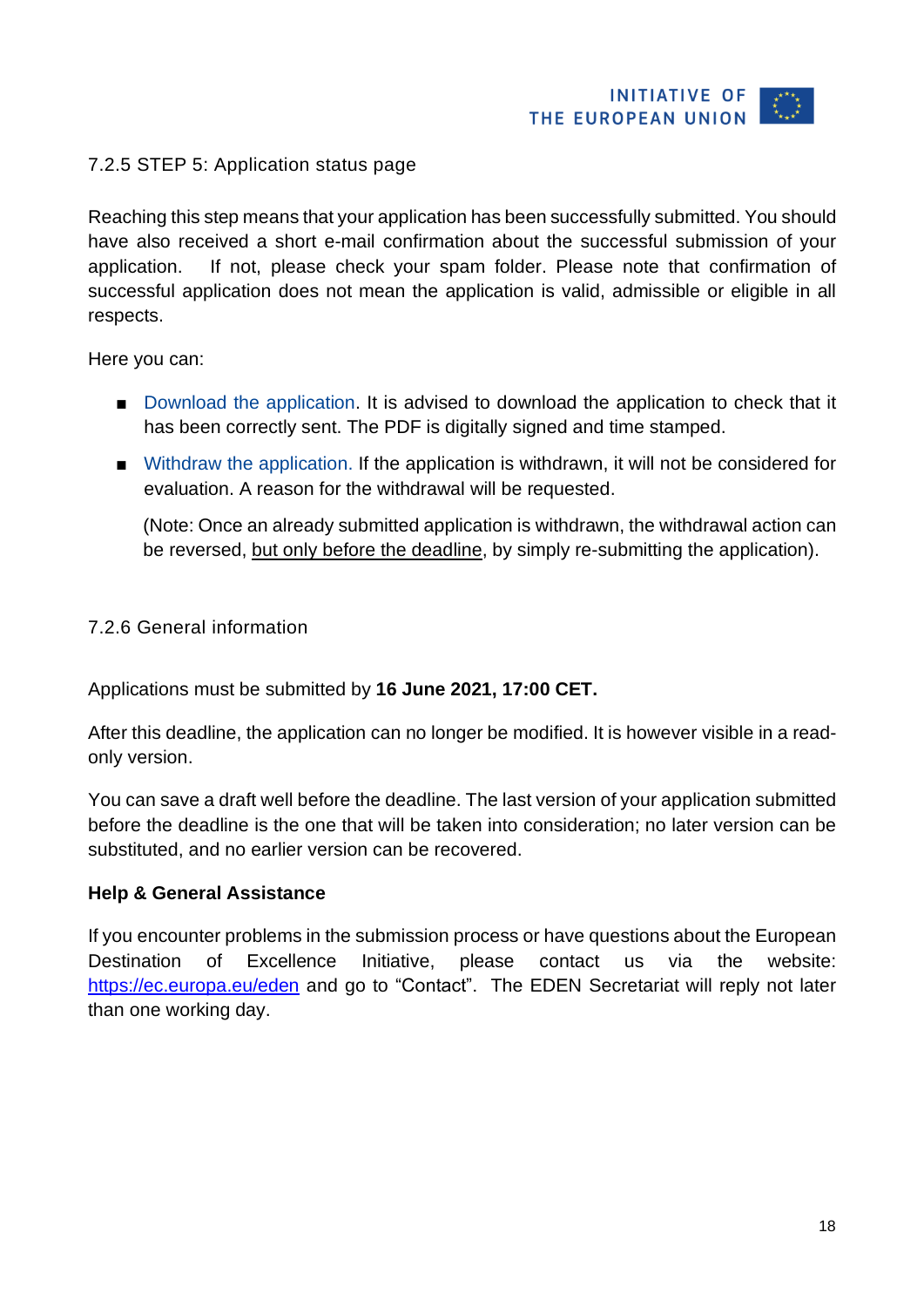

#### <span id="page-17-0"></span>7.2.5 STEP 5: Application status page

Reaching this step means that your application has been successfully submitted. You should have also received a short e-mail confirmation about the successful submission of your application. If not, please check your spam folder. Please note that confirmation of successful application does not mean the application is valid, admissible or eligible in all respects.

Here you can:

- Download the application. It is advised to download the application to check that it has been correctly sent. The PDF is digitally signed and time stamped.
- Withdraw the application. If the application is withdrawn, it will not be considered for evaluation. A reason for the withdrawal will be requested.

(Note: Once an already submitted application is withdrawn, the withdrawal action can be reversed, but only before the deadline, by simply re-submitting the application).

#### <span id="page-17-1"></span>7.2.6 General information

Applications must be submitted by **16 June 2021, 17:00 CET.**

After this deadline, the application can no longer be modified. It is however visible in a readonly version.

You can save a draft well before the deadline. The last version of your application submitted before the deadline is the one that will be taken into consideration; no later version can be substituted, and no earlier version can be recovered.

#### **Help & General Assistance**

If you encounter problems in the submission process or have questions about the European Destination of Excellence Initiative, please contact us via the website: <https://ec.europa.eu/eden> and go to "Contact". The EDEN Secretariat will reply not later than one working day.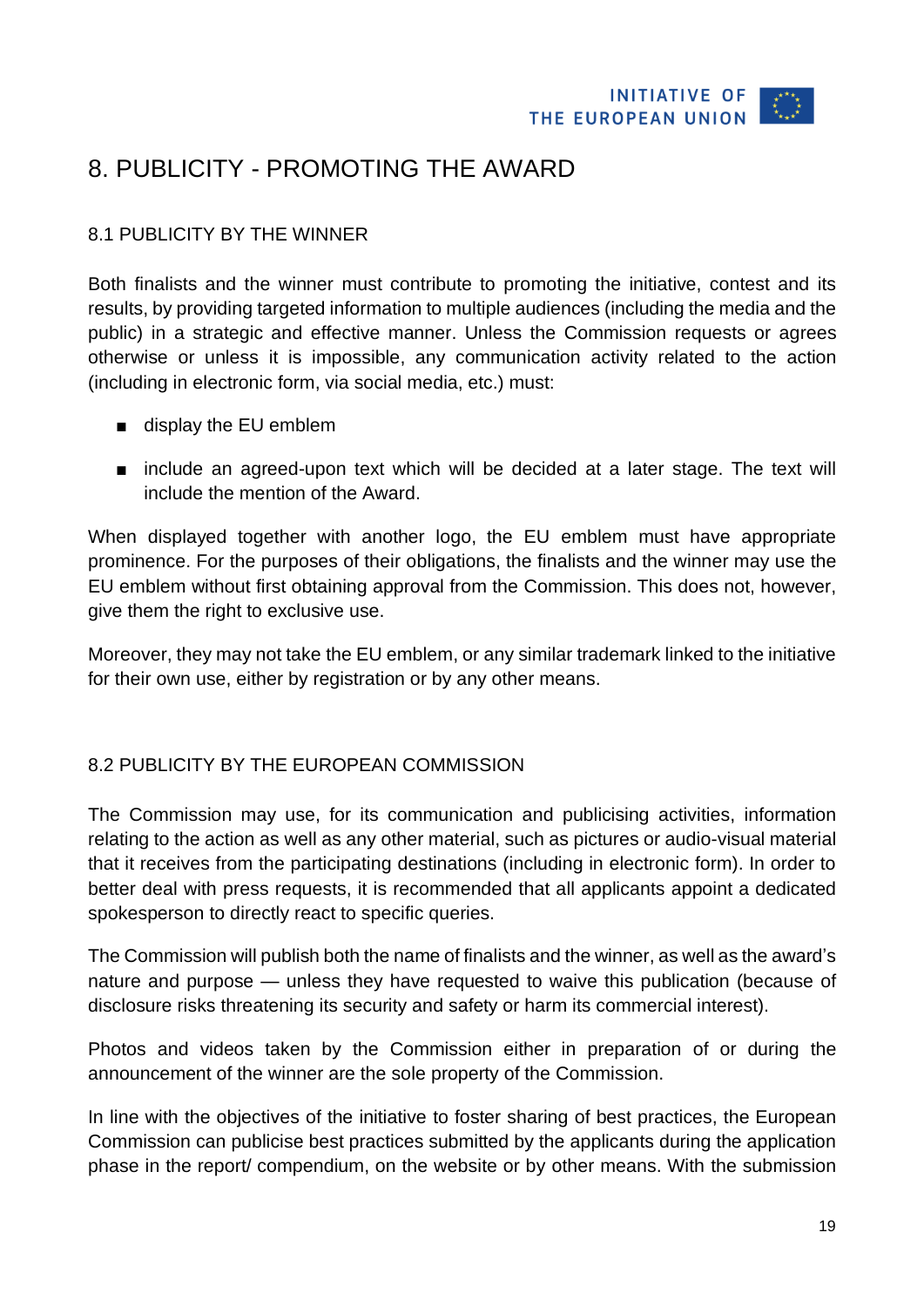

## <span id="page-18-0"></span>8. PUBLICITY - PROMOTING THE AWARD

#### <span id="page-18-1"></span>8.1 PUBLICITY BY THE WINNER

Both finalists and the winner must contribute to promoting the initiative, contest and its results, by providing targeted information to multiple audiences (including the media and the public) in a strategic and effective manner. Unless the Commission requests or agrees otherwise or unless it is impossible, any communication activity related to the action (including in electronic form, via social media, etc.) must:

- display the EU emblem
- include an agreed-upon text which will be decided at a later stage. The text will include the mention of the Award.

When displayed together with another logo, the EU emblem must have appropriate prominence. For the purposes of their obligations, the finalists and the winner may use the EU emblem without first obtaining approval from the Commission. This does not, however, give them the right to exclusive use.

Moreover, they may not take the EU emblem, or any similar trademark linked to the initiative for their own use, either by registration or by any other means.

#### <span id="page-18-2"></span>8.2 PUBLICITY BY THE EUROPEAN COMMISSION

The Commission may use, for its communication and publicising activities, information relating to the action as well as any other material, such as pictures or audio-visual material that it receives from the participating destinations (including in electronic form). In order to better deal with press requests, it is recommended that all applicants appoint a dedicated spokesperson to directly react to specific queries.

The Commission will publish both the name of finalists and the winner, as well as the award's nature and purpose — unless they have requested to waive this publication (because of disclosure risks threatening its security and safety or harm its commercial interest).

Photos and videos taken by the Commission either in preparation of or during the announcement of the winner are the sole property of the Commission.

In line with the objectives of the initiative to foster sharing of best practices, the European Commission can publicise best practices submitted by the applicants during the application phase in the report/ compendium, on the website or by other means. With the submission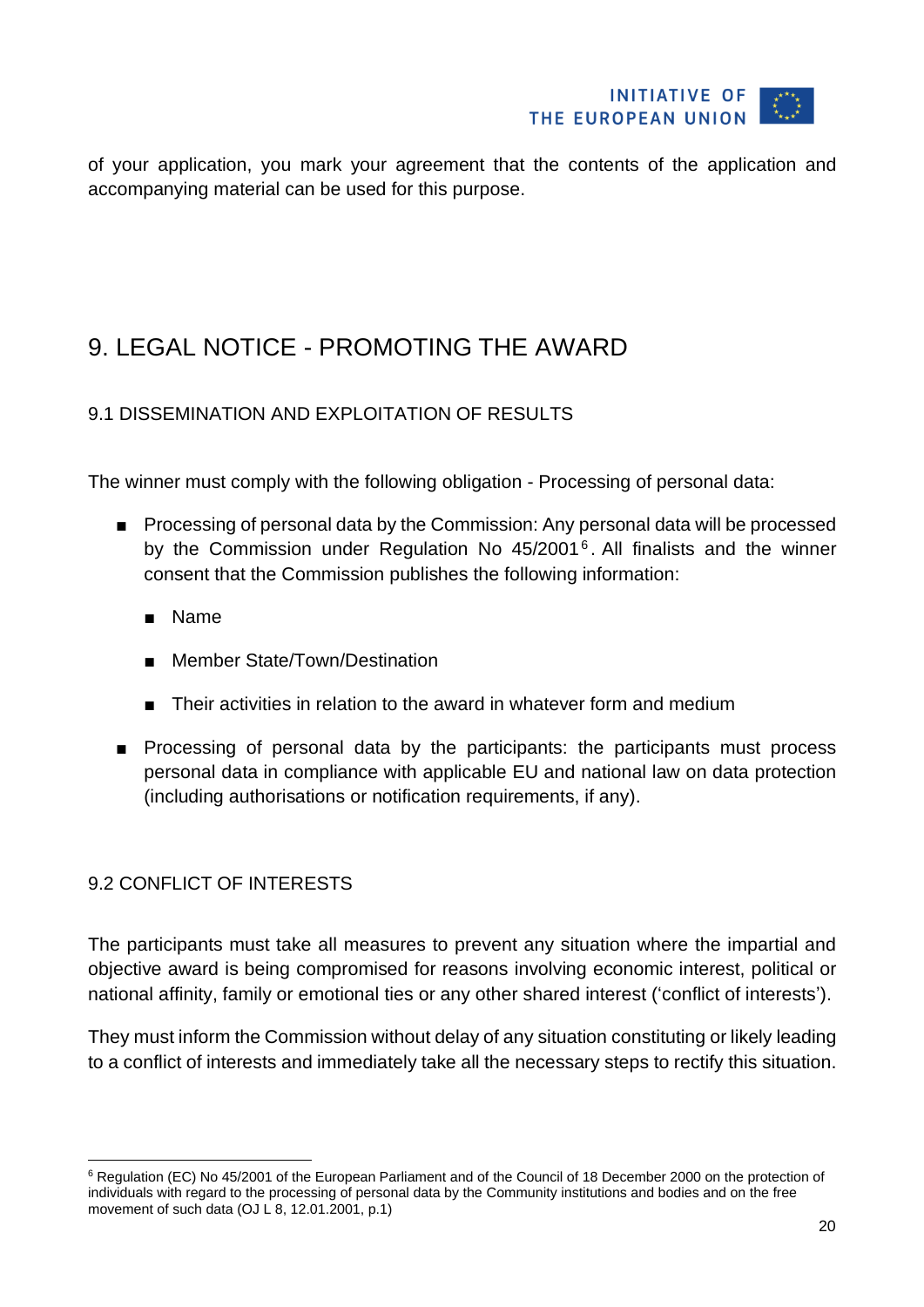

of your application, you mark your agreement that the contents of the application and accompanying material can be used for this purpose.

## <span id="page-19-0"></span>9. LEGAL NOTICE - PROMOTING THE AWARD

#### <span id="page-19-1"></span>9.1 DISSEMINATION AND EXPLOITATION OF RESULTS

The winner must comply with the following obligation - Processing of personal data:

- Processing of personal data by the Commission: Any personal data will be processed by the Commission under Regulation No 45/2001<sup>6</sup>. All finalists and the winner consent that the Commission publishes the following information:
	- Name
	- Member State/Town/Destination
	- Their activities in relation to the award in whatever form and medium
- Processing of personal data by the participants: the participants must process personal data in compliance with applicable EU and national law on data protection (including authorisations or notification requirements, if any).

#### <span id="page-19-2"></span>9.2 CONFLICT OF INTERESTS

The participants must take all measures to prevent any situation where the impartial and objective award is being compromised for reasons involving economic interest, political or national affinity, family or emotional ties or any other shared interest ('conflict of interests').

They must inform the Commission without delay of any situation constituting or likely leading to a conflict of interests and immediately take all the necessary steps to rectify this situation.

<sup>6</sup> Regulation (EC) No 45/2001 of the European Parliament and of the Council of 18 December 2000 on the protection of individuals with regard to the processing of personal data by the Community institutions and bodies and on the free movement of such data (OJ L 8, 12.01.2001, p.1)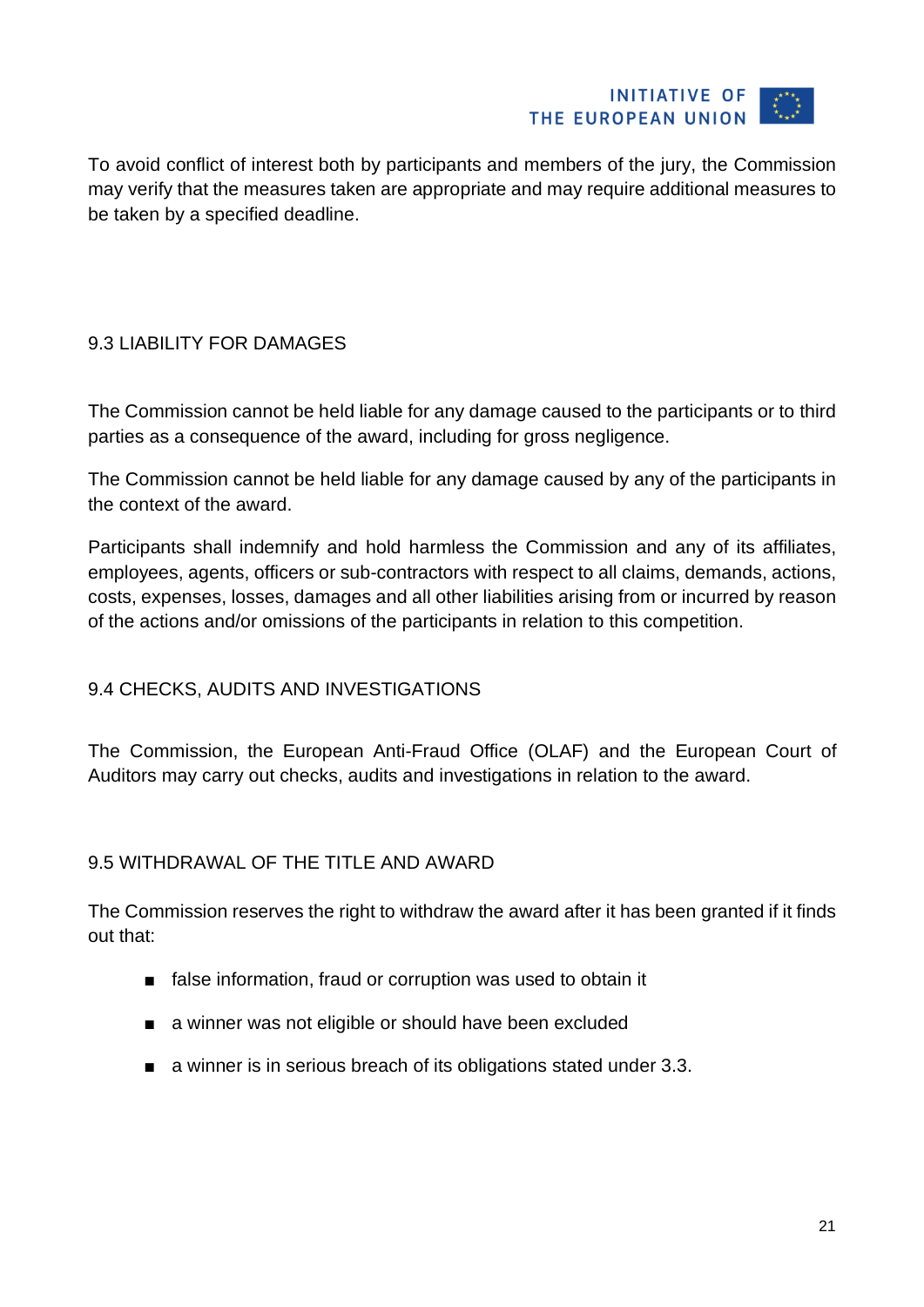

To avoid conflict of interest both by participants and members of the jury, the Commission may verify that the measures taken are appropriate and may require additional measures to be taken by a specified deadline.

#### <span id="page-20-0"></span>9.3 LIABILITY FOR DAMAGES

The Commission cannot be held liable for any damage caused to the participants or to third parties as a consequence of the award, including for gross negligence.

The Commission cannot be held liable for any damage caused by any of the participants in the context of the award.

Participants shall indemnify and hold harmless the Commission and any of its affiliates, employees, agents, officers or sub-contractors with respect to all claims, demands, actions, costs, expenses, losses, damages and all other liabilities arising from or incurred by reason of the actions and/or omissions of the participants in relation to this competition.

#### <span id="page-20-1"></span>9.4 CHECKS, AUDITS AND INVESTIGATIONS

The Commission, the European Anti-Fraud Office (OLAF) and the European Court of Auditors may carry out checks, audits and investigations in relation to the award.

#### <span id="page-20-2"></span>9.5 WITHDRAWAL OF THE TITLE AND AWARD

The Commission reserves the right to withdraw the award after it has been granted if it finds out that:

- false information, fraud or corruption was used to obtain it
- a winner was not eligible or should have been excluded
- a winner is in serious breach of its obligations stated under 3.3.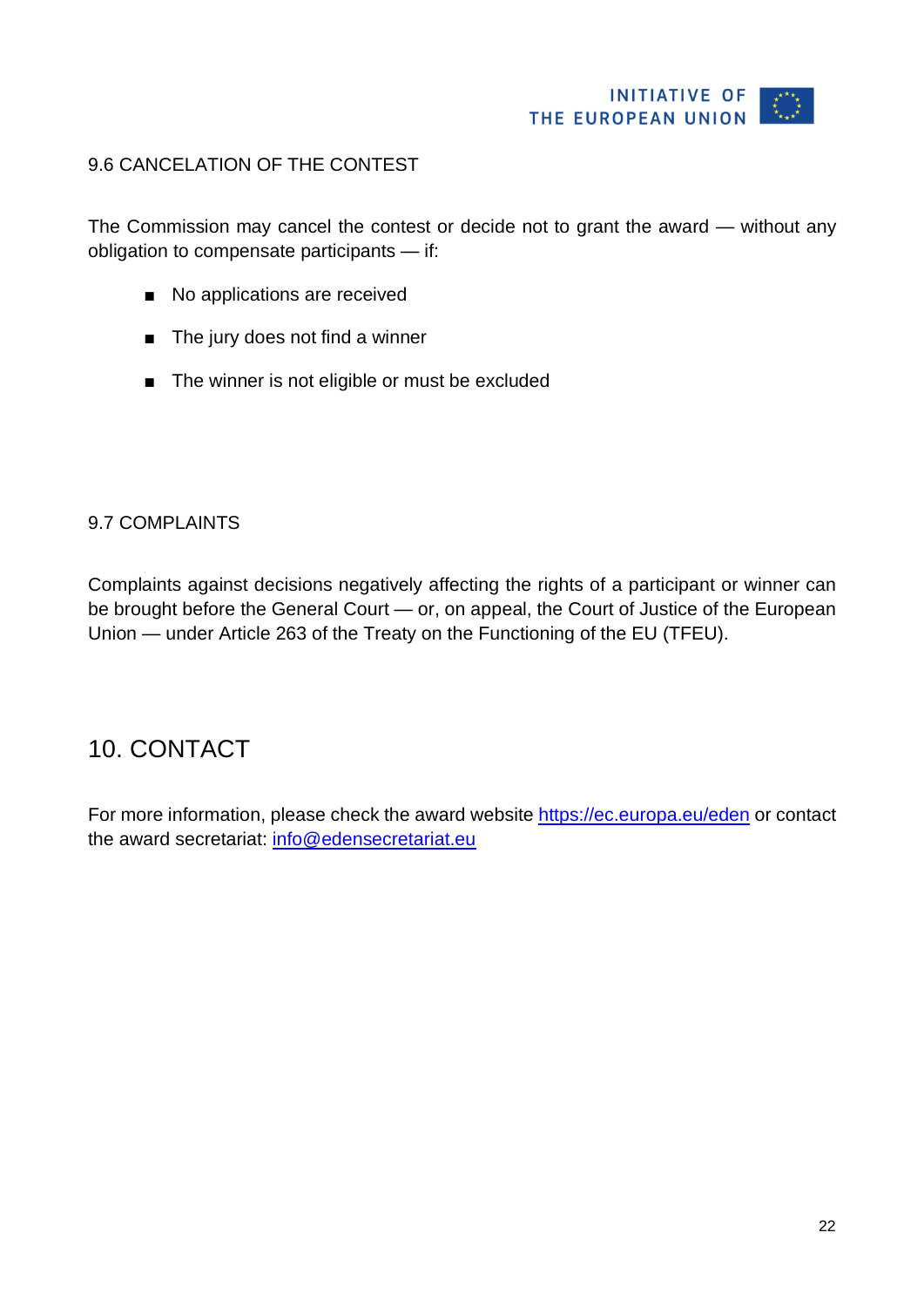#### <span id="page-21-0"></span>9.6 CANCELATION OF THE CONTEST

The Commission may cancel the contest or decide not to grant the award — without any obligation to compensate participants — if:

- No applications are received
- The jury does not find a winner
- The winner is not eligible or must be excluded

#### <span id="page-21-1"></span>9.7 COMPLAINTS

Complaints against decisions negatively affecting the rights of a participant or winner can be brought before the General Court — or, on appeal, the Court of Justice of the European Union — under Article 263 of the Treaty on the Functioning of the EU (TFEU).

### <span id="page-21-2"></span>10. CONTACT

For more information, please check the award website <https://ec.europa.eu/eden> or contact the award secretariat: [info@edensecretariat.eu](mailto:info@edensecretariat.eu)